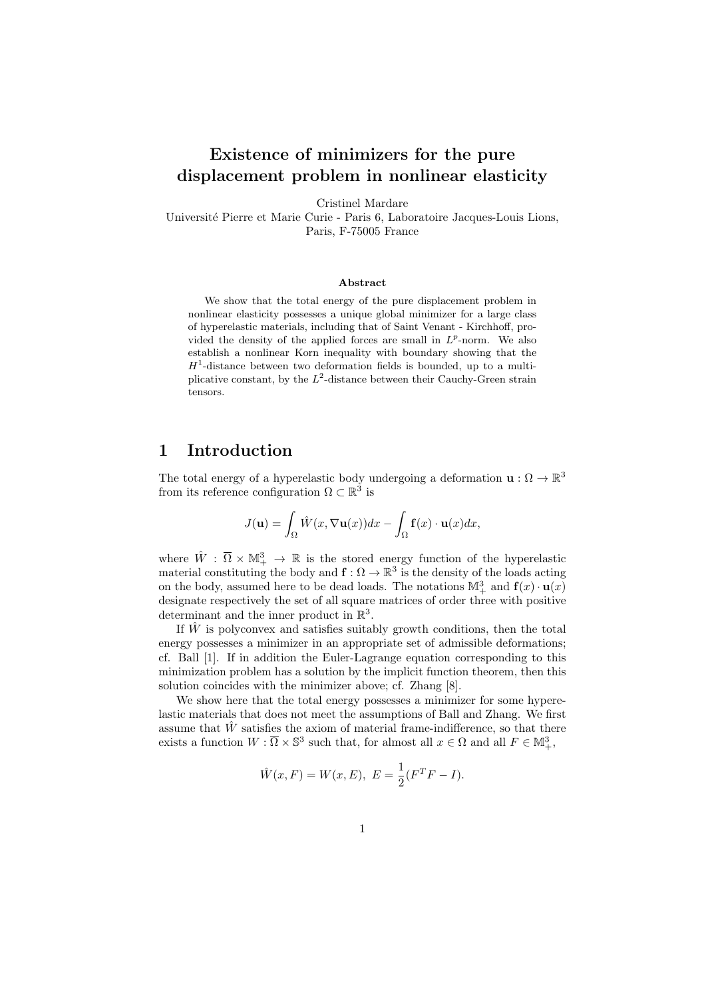# Existence of minimizers for the pure displacement problem in nonlinear elasticity

Cristinel Mardare

Universit´e Pierre et Marie Curie - Paris 6, Laboratoire Jacques-Louis Lions, Paris, F-75005 France

#### Abstract

We show that the total energy of the pure displacement problem in nonlinear elasticity possesses a unique global minimizer for a large class of hyperelastic materials, including that of Saint Venant - Kirchhoff, provided the density of the applied forces are small in  $L^p$ -norm. We also establish a nonlinear Korn inequality with boundary showing that the  $H<sup>1</sup>$ -distance between two deformation fields is bounded, up to a multiplicative constant, by the  $L^2$ -distance between their Cauchy-Green strain tensors.

#### 1 Introduction

The total energy of a hyperelastic body undergoing a deformation  $\mathbf{u}: \Omega \to \mathbb{R}^3$ from its reference configuration  $\Omega \subset \mathbb{R}^3$  is

$$
J(\mathbf{u}) = \int_{\Omega} \hat{W}(x, \nabla \mathbf{u}(x)) dx - \int_{\Omega} \mathbf{f}(x) \cdot \mathbf{u}(x) dx,
$$

where  $\hat{W}$ :  $\overline{\Omega} \times M_+^3 \rightarrow \mathbb{R}$  is the stored energy function of the hyperelastic material constituting the body and  $f: \Omega \to \mathbb{R}^3$  is the density of the loads acting on the body, assumed here to be dead loads. The notations  $\mathbb{M}^3_+$  and  $\mathbf{f}(x) \cdot \mathbf{u}(x)$ designate respectively the set of all square matrices of order three with positive determinant and the inner product in  $\mathbb{R}^3$ .

If  $\hat{W}$  is polyconvex and satisfies suitably growth conditions, then the total energy possesses a minimizer in an appropriate set of admissible deformations; cf. Ball [1]. If in addition the Euler-Lagrange equation corresponding to this minimization problem has a solution by the implicit function theorem, then this solution coincides with the minimizer above; cf. Zhang [8].

We show here that the total energy possesses a minimizer for some hyperelastic materials that does not meet the assumptions of Ball and Zhang. We first assume that  $\dot{W}$  satisfies the axiom of material frame-indifference, so that there exists a function  $W : \overline{\Omega} \times \mathbb{S}^3$  such that, for almost all  $x \in \Omega$  and all  $F \in \mathbb{M}^3_+$ ,

$$
\hat{W}(x,F) = W(x,E), E = \frac{1}{2}(F^T F - I).
$$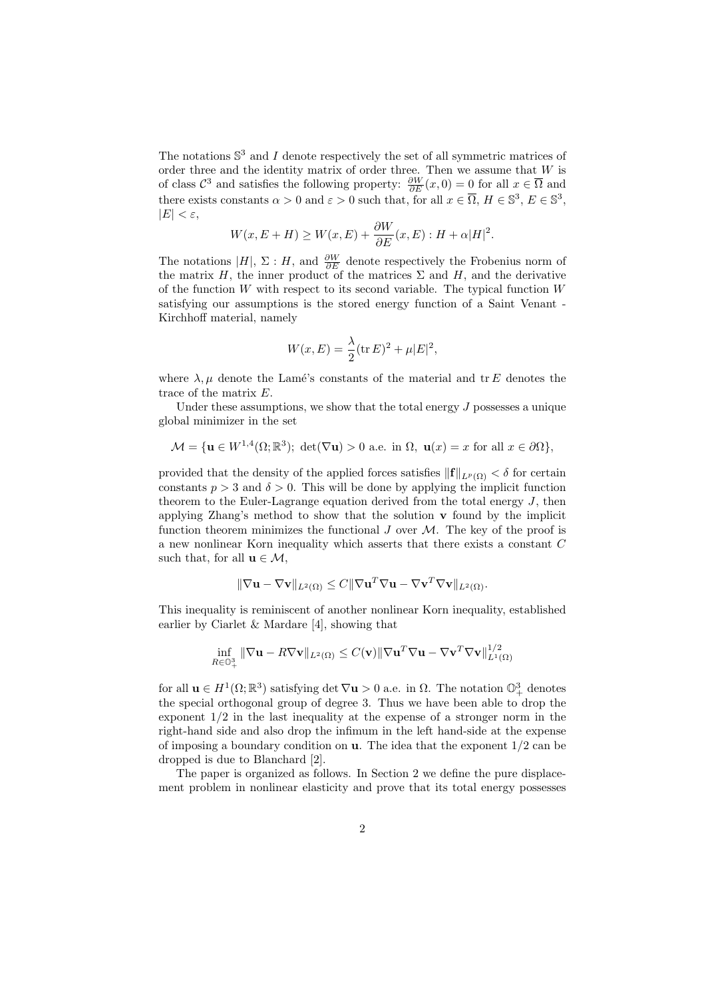The notations  $\mathbb{S}^3$  and I denote respectively the set of all symmetric matrices of order three and the identity matrix of order three. Then we assume that  $W$  is of class  $\mathcal{C}^3$  and satisfies the following property:  $\frac{\partial W}{\partial E}(x,0) = 0$  for all  $x \in \overline{\Omega}$  and there exists constants  $\alpha > 0$  and  $\varepsilon > 0$  such that, for all  $x \in \overline{\Omega}$ ,  $H \in \mathbb{S}^3$ ,  $E \in \mathbb{S}^3$ ,  $|E| < \varepsilon$ ,

$$
W(x, E+H) \ge W(x, E) + \frac{\partial W}{\partial E}(x, E) : H + \alpha |H|^2.
$$

The notations |H|,  $\Sigma$ : H, and  $\frac{\partial W}{\partial E}$  denote respectively the Frobenius norm of the matrix H, the inner product of the matrices  $\Sigma$  and H, and the derivative of the function  $W$  with respect to its second variable. The typical function  $W$ satisfying our assumptions is the stored energy function of a Saint Venant - Kirchhoff material, namely

$$
W(x, E) = \frac{\lambda}{2} (\text{tr } E)^2 + \mu |E|^2,
$$

where  $\lambda, \mu$  denote the Lamé's constants of the material and tr E denotes the trace of the matrix E.

Under these assumptions, we show that the total energy  $J$  possesses a unique global minimizer in the set

$$
\mathcal{M} = \{ \mathbf{u} \in W^{1,4}(\Omega; \mathbb{R}^3); \ \det(\nabla \mathbf{u}) > 0 \ \text{a.e. in } \Omega, \ \mathbf{u}(x) = x \text{ for all } x \in \partial\Omega \},
$$

provided that the density of the applied forces satisfies  $\|\mathbf{f}\|_{L^p(\Omega)} < \delta$  for certain constants  $p > 3$  and  $\delta > 0$ . This will be done by applying the implicit function theorem to the Euler-Lagrange equation derived from the total energy J, then applying Zhang's method to show that the solution  $\bf{v}$  found by the implicit function theorem minimizes the functional  $J$  over  $\mathcal M$ . The key of the proof is a new nonlinear Korn inequality which asserts that there exists a constant C such that, for all  $\mathbf{u} \in \mathcal{M}$ ,

$$
\|\nabla \mathbf{u} - \nabla \mathbf{v}\|_{L^2(\Omega)} \leq C\|\nabla \mathbf{u}^T \nabla \mathbf{u} - \nabla \mathbf{v}^T \nabla \mathbf{v}\|_{L^2(\Omega)}.
$$

This inequality is reminiscent of another nonlinear Korn inequality, established earlier by Ciarlet & Mardare [4], showing that

$$
\inf_{R\in\mathbb{O}^3_+} \|\nabla \mathbf{u} - R\nabla \mathbf{v}\|_{L^2(\Omega)} \le C(\mathbf{v}) \|\nabla \mathbf{u}^T \nabla \mathbf{u} - \nabla \mathbf{v}^T \nabla \mathbf{v}\|_{L^1(\Omega)}^{1/2}
$$

for all  $\mathbf{u} \in H^1(\Omega;\mathbb{R}^3)$  satisfying det  $\nabla \mathbf{u} > 0$  a.e. in  $\Omega$ . The notation  $\mathbb{O}^3_+$  denotes the special orthogonal group of degree 3. Thus we have been able to drop the exponent 1/2 in the last inequality at the expense of a stronger norm in the right-hand side and also drop the infimum in the left hand-side at the expense of imposing a boundary condition on  $\bf{u}$ . The idea that the exponent  $1/2$  can be dropped is due to Blanchard [2].

The paper is organized as follows. In Section 2 we define the pure displacement problem in nonlinear elasticity and prove that its total energy possesses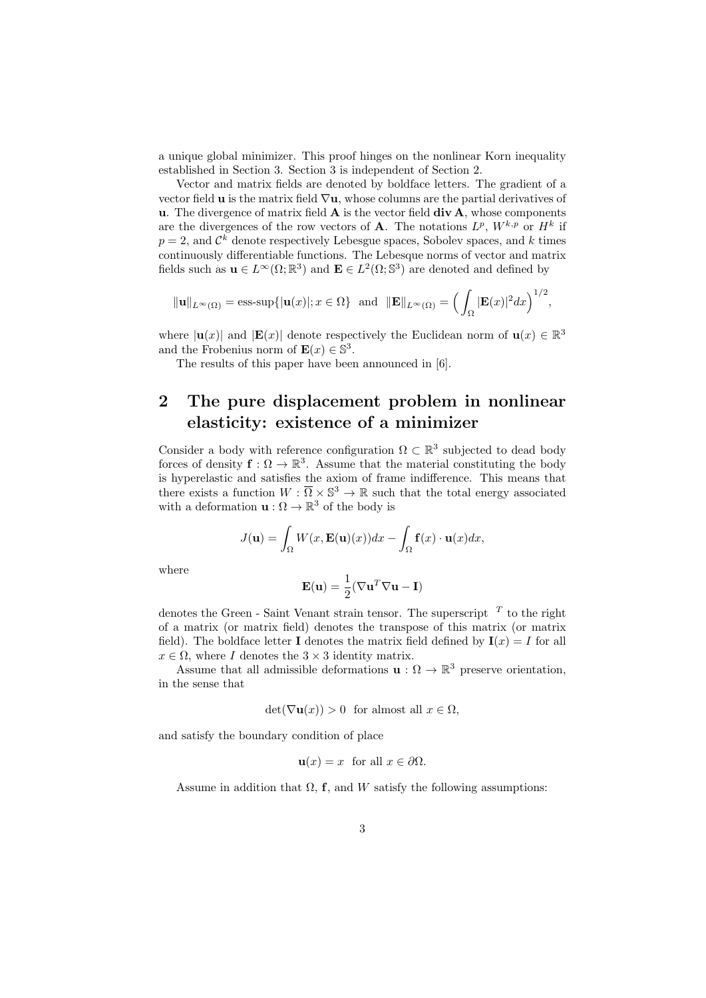a unique global minimizer. This proof hinges on the nonlinear Korn inequality established in Section 3. Section 3 is independent of Section 2.

Vector and matrix fields are denoted by boldface letters. The gradient of a vector field **u** is the matrix field  $\nabla$ **u**, whose columns are the partial derivatives of u. The divergence of matrix field  $\bf{A}$  is the vector field  $div \bf{A}$ , whose components are the divergences of the row vectors of **A**. The notations  $L^p$ ,  $W^{k,p}$  or  $H^k$  if  $p=2$ , and  $\mathcal{C}^k$  denote respectively Lebesgue spaces, Sobolev spaces, and k times continuously differentiable functions. The Lebesque norms of vector and matrix fields such as  $\mathbf{u} \in L^{\infty}(\Omega;\mathbb{R}^{3})$  and  $\mathbf{E} \in L^{2}(\Omega;\mathbb{S}^{3})$  are denoted and defined by

$$
\|\mathbf{u}\|_{L^{\infty}(\Omega)} = \text{ess-sup}\{\|\mathbf{u}(x)\|; x \in \Omega\}\
$$
and  $\|\mathbf{E}\|_{L^{\infty}(\Omega)} = \left(\int_{\Omega} |\mathbf{E}(x)|^2 dx\right)^{1/2},$ 

where  $|\mathbf{u}(x)|$  and  $|\mathbf{E}(x)|$  denote respectively the Euclidean norm of  $\mathbf{u}(x) \in \mathbb{R}^3$ and the Frobenius norm of  $\mathbf{E}(x) \in \mathbb{S}^3$ .

The results of this paper have been announced in [6].

## 2 The pure displacement problem in nonlinear elasticity: existence of a minimizer

Consider a body with reference configuration  $\Omega \subset \mathbb{R}^3$  subjected to dead body forces of density  $f: \Omega \to \mathbb{R}^3$ . Assume that the material constituting the body is hyperelastic and satisfies the axiom of frame indifference. This means that there exists a function  $W : \overline{\Omega} \times \mathbb{S}^3 \to \mathbb{R}$  such that the total energy associated with a deformation  $\mathbf{u}: \Omega \to \mathbb{R}^3$  of the body is

$$
J(\mathbf{u}) = \int_{\Omega} W(x, \mathbf{E}(\mathbf{u})(x)) dx - \int_{\Omega} \mathbf{f}(x) \cdot \mathbf{u}(x) dx,
$$

where

$$
\mathbf{E}(\mathbf{u}) = \frac{1}{2} (\nabla \mathbf{u}^T \nabla \mathbf{u} - \mathbf{I})
$$

denotes the Green - Saint Venant strain tensor. The superscript  $T$  to the right of a matrix (or matrix field) denotes the transpose of this matrix (or matrix field). The boldface letter **I** denotes the matrix field defined by  $I(x) = I$  for all  $x \in \Omega$ , where I denotes the  $3 \times 3$  identity matrix.

Assume that all admissible deformations  $\mathbf{u}: \Omega \to \mathbb{R}^3$  preserve orientation, in the sense that

$$
\det(\nabla \mathbf{u}(x)) > 0 \quad \text{for almost all } x \in \Omega,
$$

and satisfy the boundary condition of place

$$
\mathbf{u}(x) = x \text{ for all } x \in \partial \Omega.
$$

Assume in addition that  $\Omega$ , f, and W satisfy the following assumptions: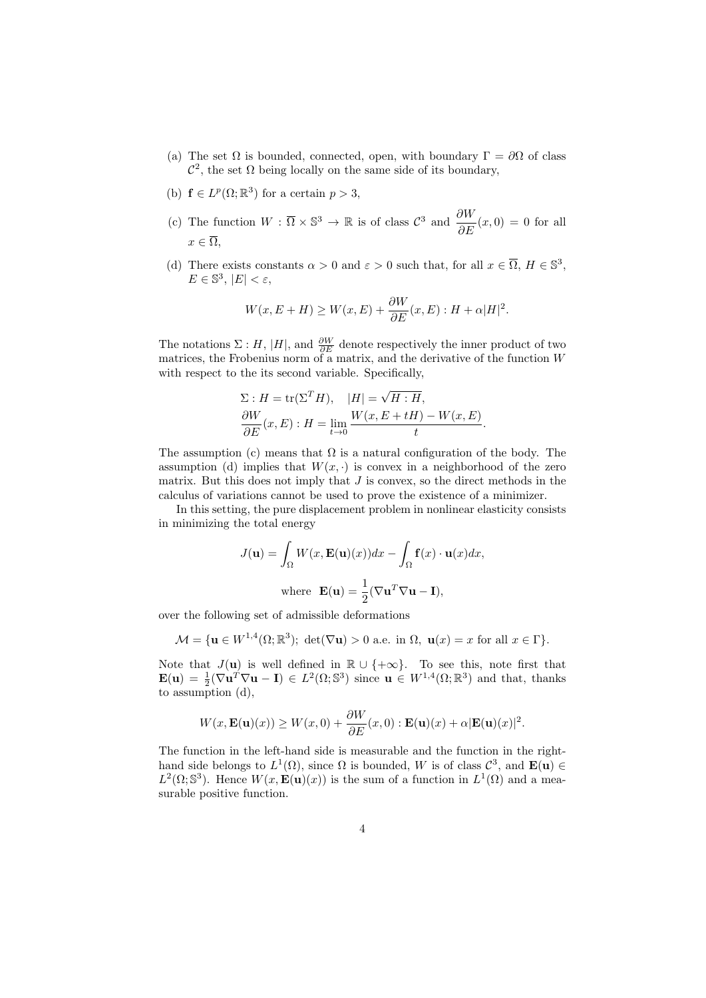- (a) The set  $\Omega$  is bounded, connected, open, with boundary  $\Gamma = \partial \Omega$  of class  $\mathcal{C}^2$ , the set  $\Omega$  being locally on the same side of its boundary,
- (b)  $f \in L^p(\Omega;\mathbb{R}^3)$  for a certain  $p > 3$ ,
- (c) The function  $W : \overline{\Omega} \times \mathbb{S}^3 \to \mathbb{R}$  is of class  $\mathcal{C}^3$  and  $\frac{\partial W}{\partial E}(x,0) = 0$  for all  $x \in \overline{\Omega}$ ,
- (d) There exists constants  $\alpha > 0$  and  $\varepsilon > 0$  such that, for all  $x \in \overline{\Omega}$ ,  $H \in \mathbb{S}^3$ ,  $E \in \mathbb{S}^3, |E| < \varepsilon,$

$$
W(x, E+H) \ge W(x, E) + \frac{\partial W}{\partial E}(x, E) : H + \alpha |H|^2.
$$

The notations  $\Sigma : H$ , |H|, and  $\frac{\partial W}{\partial E}$  denote respectively the inner product of two matrices, the Frobenius norm of a matrix, and the derivative of the function W with respect to the its second variable. Specifically,

$$
\Sigma: H = \text{tr}(\Sigma^T H), \quad |H| = \sqrt{H:H},
$$
  
\n
$$
\frac{\partial W}{\partial E}(x, E): H = \lim_{t \to 0} \frac{W(x, E + tH) - W(x, E)}{t}.
$$

The assumption (c) means that  $\Omega$  is a natural configuration of the body. The assumption (d) implies that  $W(x, \cdot)$  is convex in a neighborhood of the zero matrix. But this does not imply that  $J$  is convex, so the direct methods in the calculus of variations cannot be used to prove the existence of a minimizer.

In this setting, the pure displacement problem in nonlinear elasticity consists in minimizing the total energy

$$
J(\mathbf{u}) = \int_{\Omega} W(x, \mathbf{E}(\mathbf{u})(x)) dx - \int_{\Omega} \mathbf{f}(x) \cdot \mathbf{u}(x) dx,
$$
  
where  $\mathbf{E}(\mathbf{u}) = \frac{1}{2} (\nabla \mathbf{u}^T \nabla \mathbf{u} - \mathbf{I}),$ 

over the following set of admissible deformations

$$
\mathcal{M} = \{ \mathbf{u} \in W^{1,4}(\Omega; \mathbb{R}^3); \ \det(\nabla \mathbf{u}) > 0 \ \text{a.e. in } \Omega, \ \mathbf{u}(x) = x \text{ for all } x \in \Gamma \}.
$$

Note that  $J(\mathbf{u})$  is well defined in  $\mathbb{R} \cup \{+\infty\}$ . To see this, note first that  $\mathbf{E}(\mathbf{u}) = \frac{1}{2}(\nabla \mathbf{u}^T \nabla \mathbf{u} - \mathbf{I}) \in L^2(\Omega; \mathbb{S}^3)$  since  $\mathbf{u} \in W^{1,4}(\Omega; \mathbb{R}^3)$  and that, thanks to assumption (d),

$$
W(x, \mathbf{E}(\mathbf{u})(x)) \ge W(x, 0) + \frac{\partial W}{\partial E}(x, 0) : \mathbf{E}(\mathbf{u})(x) + \alpha |\mathbf{E}(\mathbf{u})(x)|^2.
$$

The function in the left-hand side is measurable and the function in the righthand side belongs to  $L^1(\Omega)$ , since  $\Omega$  is bounded, W is of class  $\mathcal{C}^3$ , and  $\mathbf{E}(\mathbf{u}) \in$  $L^2(\Omega; \mathbb{S}^3)$ . Hence  $W(x, \mathbf{E}(\mathbf{u})(x))$  is the sum of a function in  $L^1(\Omega)$  and a measurable positive function.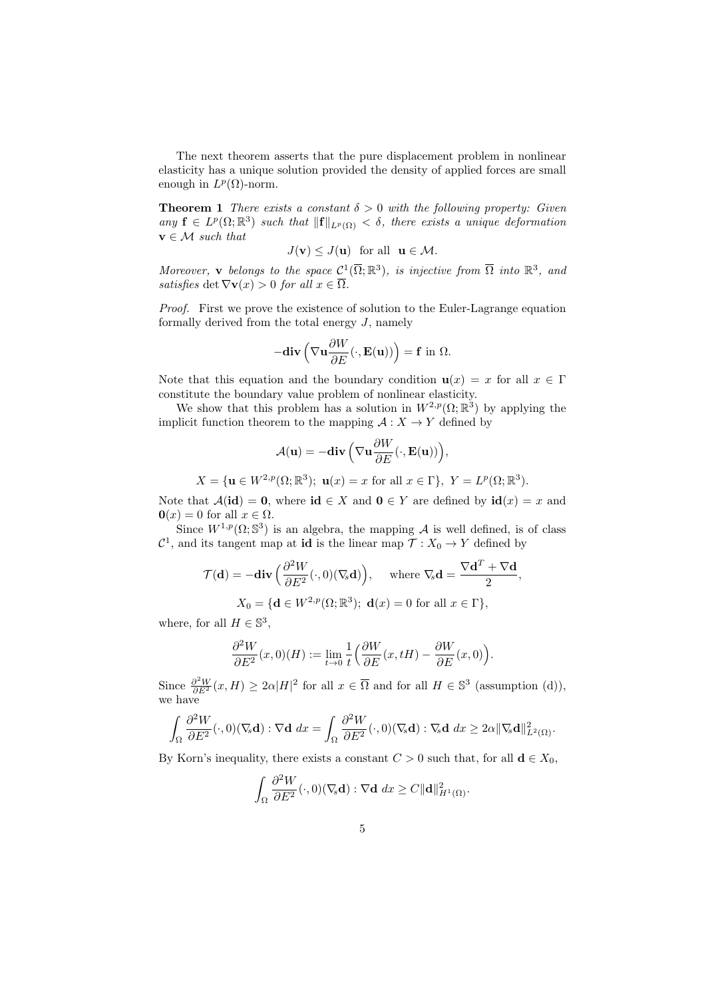The next theorem asserts that the pure displacement problem in nonlinear elasticity has a unique solution provided the density of applied forces are small enough in  $L^p(\Omega)$ -norm.

**Theorem 1** There exists a constant  $\delta > 0$  with the following property: Given any  $\mathbf{f} \in L^p(\Omega;\mathbb{R}^3)$  such that  $\|\mathbf{f}\|_{L^p(\Omega)} < \delta$ , there exists a unique deformation  $\mathbf{v} \in \mathcal{M}$  such that

$$
J(\mathbf{v}) \leq J(\mathbf{u}) \quad \text{for all} \quad \mathbf{u} \in \mathcal{M}.
$$

Moreover, **v** belongs to the space  $C^1(\overline{\Omega}; \mathbb{R}^3)$ , is injective from  $\overline{\Omega}$  into  $\mathbb{R}^3$ , and satisfies det  $\nabla \mathbf{v}(x) > 0$  for all  $x \in \overline{\Omega}$ .

Proof. First we prove the existence of solution to the Euler-Lagrange equation formally derived from the total energy  $J$ , namely

$$
-\mathbf{div}\left(\nabla \mathbf{u} \frac{\partial W}{\partial E}(\cdot, \mathbf{E}(\mathbf{u}))\right) = \mathbf{f} \text{ in } \Omega.
$$

Note that this equation and the boundary condition  $u(x) = x$  for all  $x \in \Gamma$ constitute the boundary value problem of nonlinear elasticity.

We show that this problem has a solution in  $W^{2,p}(\Omega;\mathbb{R}^3)$  by applying the implicit function theorem to the mapping  $\mathcal{A}: X \to Y$  defined by

$$
\mathcal{A}(\mathbf{u}) = -\textbf{div}\left(\nabla \mathbf{u} \frac{\partial W}{\partial E}(\cdot, \mathbf{E}(\mathbf{u}))\right),\,
$$

 $X = {\mathbf{u} \in W^{2,p}(\Omega;\mathbb{R}^3); \mathbf{u}(x) = x \text{ for all } x \in \Gamma}, Y = L^p(\Omega;\mathbb{R}^3).$ 

Note that  $\mathcal{A}(\text{id}) = 0$ , where  $\text{id} \in X$  and  $0 \in Y$  are defined by  $\text{id}(x) = x$  and  $\mathbf{0}(x) = 0$  for all  $x \in \Omega$ .

Since  $W^{1,p}(\Omega; \mathbb{S}^3)$  is an algebra, the mapping A is well defined, is of class  $\mathcal{C}^1$ , and its tangent map at **id** is the linear map  $\mathcal{T}: X_0 \to Y$  defined by

$$
\mathcal{T}(\mathbf{d}) = -\mathbf{div}\left(\frac{\partial^2 W}{\partial E^2}(\cdot,0)(\nabla_s \mathbf{d})\right), \quad \text{where } \nabla_s \mathbf{d} = \frac{\nabla \mathbf{d}^T + \nabla \mathbf{d}}{2},
$$

$$
X_0 = \{\mathbf{d} \in W^{2,p}(\Omega; \mathbb{R}^3); \ \mathbf{d}(x) = 0 \text{ for all } x \in \Gamma\},
$$

where, for all  $H \in \mathbb{S}^3$ ,

$$
\frac{\partial^2 W}{\partial E^2}(x,0)(H) := \lim_{t \to 0} \frac{1}{t} \left( \frac{\partial W}{\partial E}(x,tH) - \frac{\partial W}{\partial E}(x,0) \right).
$$

Since  $\frac{\partial^2 W}{\partial E^2}(x,H) \geq 2\alpha |H|^2$  for all  $x \in \overline{\Omega}$  and for all  $H \in \mathbb{S}^3$  (assumption (d)), we have

$$
\int_{\Omega} \frac{\partial^2 W}{\partial E^2}(\cdot,0)(\nabla_{\!s} \mathbf{d}) : \nabla \mathbf{d} \ dx = \int_{\Omega} \frac{\partial^2 W}{\partial E^2}(\cdot,0)(\nabla_{\!s} \mathbf{d}) : \nabla_{\!s} \mathbf{d} \ dx \geq 2\alpha \|\nabla_{\!s} \mathbf{d}\|_{L^2(\Omega)}^2.
$$

By Korn's inequality, there exists a constant  $C > 0$  such that, for all  $\mathbf{d} \in X_0$ ,

$$
\int_{\Omega} \frac{\partial^2 W}{\partial E^2}(\cdot,0)(\nabla_{\hspace{-1pt}s}\mathbf{d}) : \nabla \mathbf{d} \ dx \geq C \|\mathbf{d}\|_{H^1(\Omega)}^2.
$$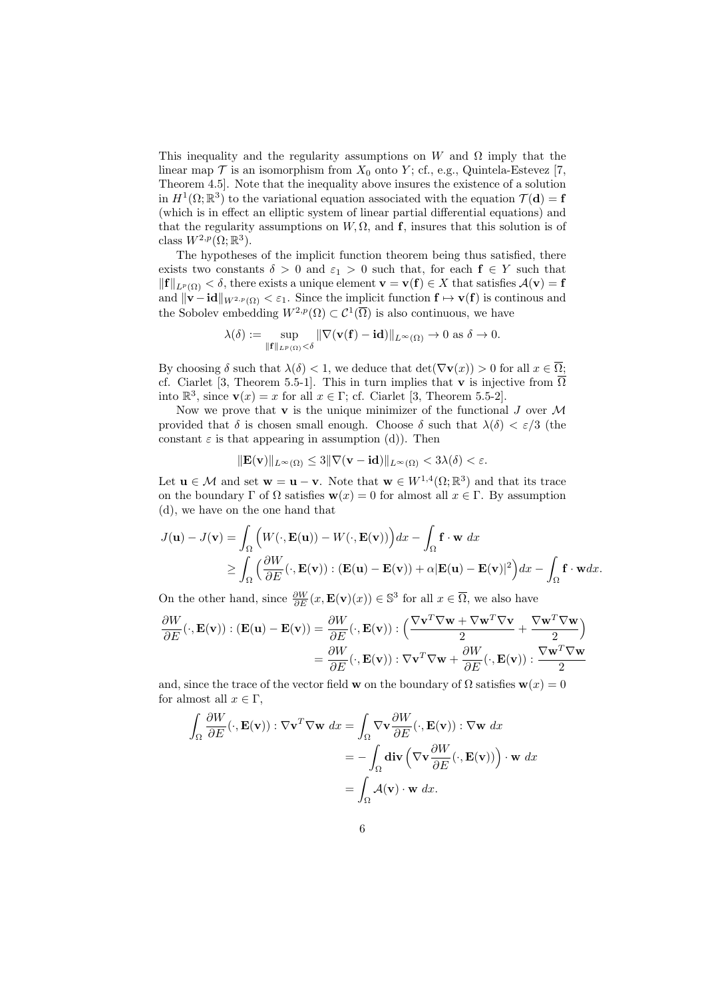This inequality and the regularity assumptions on W and  $\Omega$  imply that the linear map  $\mathcal T$  is an isomorphism from  $X_0$  onto Y; cf., e.g., Quintela-Estevez [7, Theorem 4.5]. Note that the inequality above insures the existence of a solution in  $H^1(\Omega;\mathbb{R}^3)$  to the variational equation associated with the equation  $\mathcal{T}(\mathbf{d}) = \mathbf{f}$ (which is in effect an elliptic system of linear partial differential equations) and that the regularity assumptions on  $W, \Omega$ , and f, insures that this solution is of class  $W^{2,p}(\Omega;\mathbb{R}^3)$ .

The hypotheses of the implicit function theorem being thus satisfied, there exists two constants  $\delta > 0$  and  $\varepsilon_1 > 0$  such that, for each  $f \in Y$  such that  $||\mathbf{f}||_{L^p(\Omega)} < \delta$ , there exists a unique element  $\mathbf{v} = \mathbf{v}(\mathbf{f}) \in X$  that satisfies  $\mathcal{A}(\mathbf{v}) = \mathbf{f}$ and  $\|\mathbf{v}-\mathbf{id}\|_{W^{2,p}(\Omega)} < \varepsilon_1$ . Since the implicit function  $\mathbf{f} \mapsto \mathbf{v}(\mathbf{f})$  is continous and the Sobolev embedding  $W^{2,p}(\Omega) \subset \mathcal{C}^1(\overline{\Omega})$  is also continuous, we have

$$
\lambda(\delta) := \sup_{\|\mathbf{f}\|_{L^p(\Omega)} < \delta} \|\nabla(\mathbf{v}(\mathbf{f}) - \mathbf{id})\|_{L^{\infty}(\Omega)} \to 0 \text{ as } \delta \to 0.
$$

By choosing  $\delta$  such that  $\lambda(\delta) < 1$ , we deduce that  $\det(\nabla \mathbf{v}(x)) > 0$  for all  $x \in \overline{\Omega}$ ; cf. Ciarlet [3, Theorem 5.5-1]. This in turn implies that **v** is injective from  $\overline{\Omega}$ into  $\mathbb{R}^3$ , since  $\mathbf{v}(x) = x$  for all  $x \in \Gamma$ ; cf. Ciarlet [3, Theorem 5.5-2].

Now we prove that  $\bf{v}$  is the unique minimizer of the functional  $J$  over  $\cal{M}$ provided that  $\delta$  is chosen small enough. Choose  $\delta$  such that  $\lambda(\delta) < \varepsilon/3$  (the constant  $\varepsilon$  is that appearing in assumption (d)). Then

$$
\|\mathbf{E}(\mathbf{v})\|_{L^{\infty}(\Omega)} \le 3\|\nabla(\mathbf{v} - \mathbf{id})\|_{L^{\infty}(\Omega)} < 3\lambda(\delta) < \varepsilon.
$$

Let  $\mathbf{u} \in \mathcal{M}$  and set  $\mathbf{w} = \mathbf{u} - \mathbf{v}$ . Note that  $\mathbf{w} \in W^{1,4}(\Omega;\mathbb{R}^3)$  and that its trace on the boundary  $\Gamma$  of  $\Omega$  satisfies  $\mathbf{w}(x) = 0$  for almost all  $x \in \Gamma$ . By assumption (d), we have on the one hand that

$$
J(\mathbf{u}) - J(\mathbf{v}) = \int_{\Omega} \left( W(\cdot, \mathbf{E}(\mathbf{u})) - W(\cdot, \mathbf{E}(\mathbf{v})) \right) dx - \int_{\Omega} \mathbf{f} \cdot \mathbf{w} \, dx
$$
  
\n
$$
\geq \int_{\Omega} \left( \frac{\partial W}{\partial E}(\cdot, \mathbf{E}(\mathbf{v})) : (\mathbf{E}(\mathbf{u}) - \mathbf{E}(\mathbf{v})) + \alpha |\mathbf{E}(\mathbf{u}) - \mathbf{E}(\mathbf{v})|^2 \right) dx - \int_{\Omega} \mathbf{f} \cdot \mathbf{w} \, dx.
$$

On the other hand, since  $\frac{\partial W}{\partial E}(x, \mathbf{E}(v)(x)) \in \mathbb{S}^3$  for all  $x \in \overline{\Omega}$ , we also have

$$
\frac{\partial W}{\partial E}(\cdot, \mathbf{E}(\mathbf{v})): (\mathbf{E}(\mathbf{u}) - \mathbf{E}(\mathbf{v})) = \frac{\partial W}{\partial E}(\cdot, \mathbf{E}(\mathbf{v})): \left(\frac{\nabla \mathbf{v}^T \nabla \mathbf{w} + \nabla \mathbf{w}^T \nabla \mathbf{v}}{2} + \frac{\nabla \mathbf{w}^T \nabla \mathbf{w}}{2}\right)
$$

$$
= \frac{\partial W}{\partial E}(\cdot, \mathbf{E}(\mathbf{v})): \nabla \mathbf{v}^T \nabla \mathbf{w} + \frac{\partial W}{\partial E}(\cdot, \mathbf{E}(\mathbf{v})): \frac{\nabla \mathbf{w}^T \nabla \mathbf{w}}{2}
$$

and, since the trace of the vector field w on the boundary of  $\Omega$  satisfies  $\mathbf{w}(x) = 0$ for almost all  $x \in \Gamma$ ,

$$
\int_{\Omega} \frac{\partial W}{\partial E}(\cdot, \mathbf{E}(\mathbf{v})) : \nabla \mathbf{v}^T \nabla \mathbf{w} \, dx = \int_{\Omega} \nabla \mathbf{v} \frac{\partial W}{\partial E}(\cdot, \mathbf{E}(\mathbf{v})) : \nabla \mathbf{w} \, dx
$$

$$
= -\int_{\Omega} \mathbf{div} \left( \nabla \mathbf{v} \frac{\partial W}{\partial E}(\cdot, \mathbf{E}(\mathbf{v})) \right) \cdot \mathbf{w} \, dx
$$

$$
= \int_{\Omega} \mathcal{A}(\mathbf{v}) \cdot \mathbf{w} \, dx.
$$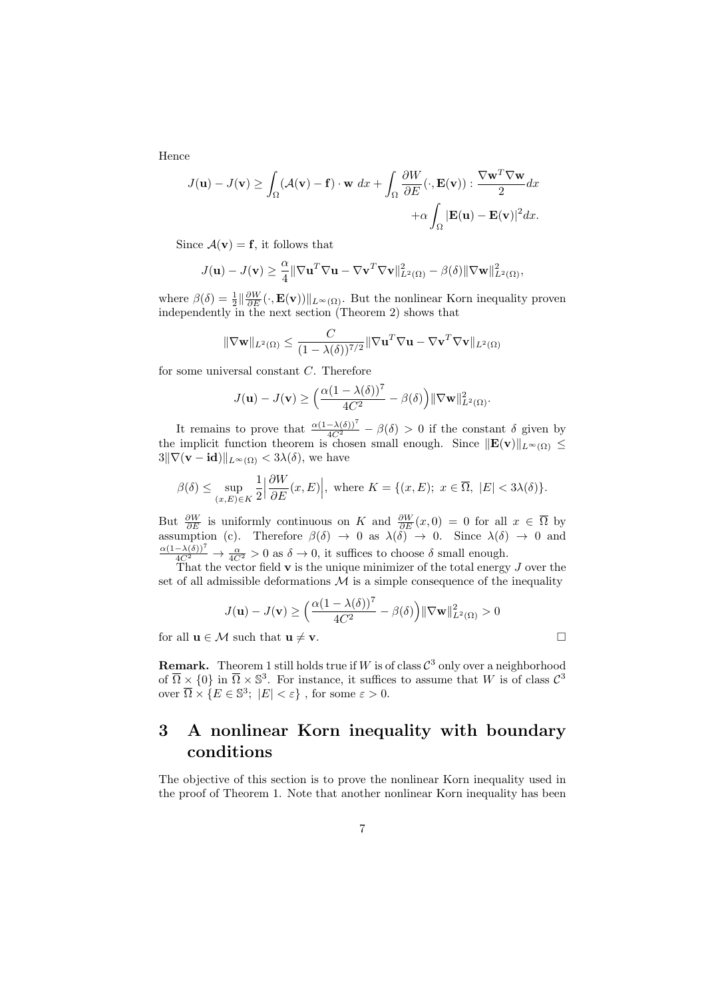Hence

$$
J(\mathbf{u}) - J(\mathbf{v}) \ge \int_{\Omega} (\mathcal{A}(\mathbf{v}) - \mathbf{f}) \cdot \mathbf{w} \, dx + \int_{\Omega} \frac{\partial W}{\partial E} (\cdot, \mathbf{E}(\mathbf{v})) : \frac{\nabla \mathbf{w}^T \nabla \mathbf{w}}{2} dx + \alpha \int_{\Omega} |\mathbf{E}(\mathbf{u}) - \mathbf{E}(\mathbf{v})|^2 dx.
$$

Since  $\mathcal{A}(\mathbf{v}) = \mathbf{f}$ , it follows that

$$
J(\mathbf{u}) - J(\mathbf{v}) \geq \frac{\alpha}{4} \|\nabla \mathbf{u}^T \nabla \mathbf{u} - \nabla \mathbf{v}^T \nabla \mathbf{v}\|_{L^2(\Omega)}^2 - \beta(\delta) \|\nabla \mathbf{w}\|_{L^2(\Omega)}^2,
$$

where  $\beta(\delta) = \frac{1}{2} \|\frac{\partial W}{\partial E}(\cdot, \mathbf{E}(\mathbf{v}))\|_{L^{\infty}(\Omega)}$ . But the nonlinear Korn inequality proven independently in the next section (Theorem 2) shows that

$$
\|\nabla \mathbf{w}\|_{L^2(\Omega)} \le \frac{C}{(1 - \lambda(\delta))^{7/2}} \|\nabla \mathbf{u}^T \nabla \mathbf{u} - \nabla \mathbf{v}^T \nabla \mathbf{v}\|_{L^2(\Omega)}
$$

for some universal constant C. Therefore

$$
J(\mathbf{u}) - J(\mathbf{v}) \ge \left(\frac{\alpha(1 - \lambda(\delta))^7}{4C^2} - \beta(\delta)\right) \|\nabla \mathbf{w}\|_{L^2(\Omega)}^2.
$$

It remains to prove that  $\frac{\alpha(1-\lambda(\delta))^7}{4C^2} - \beta(\delta) > 0$  if the constant  $\delta$  given by the implicit function theorem is chosen small enough. Since  $||\mathbf{E}(v)||_{L^{\infty}(\Omega)} \leq$  $3\|\nabla(\mathbf{v} - \mathbf{id})\|_{L^{\infty}(\Omega)} < 3\lambda(\delta)$ , we have

$$
\beta(\delta) \le \sup_{(x,E)\in K} \frac{1}{2} \left| \frac{\partial W}{\partial E}(x,E) \right|, \text{ where } K = \{(x,E); \ x \in \overline{\Omega}, \ |E| < 3\lambda(\delta) \}.
$$

But  $\frac{\partial W}{\partial E}$  is uniformly continuous on K and  $\frac{\partial W}{\partial E}(x,0) = 0$  for all  $x \in \overline{\Omega}$  by assumption (c). Therefore  $\beta(\delta) \to 0$  as  $\lambda(\delta) \to 0$ . Since  $\lambda(\delta) \to 0$  and  $\frac{\alpha(1-\lambda(\delta))^7}{4C^2} \to \frac{\alpha}{4C^2} > 0$  as  $\delta \to 0$ , it suffices to choose  $\delta$  small enough.

That the vector field  $\bf{v}$  is the unique minimizer of the total energy  $J$  over the set of all admissible deformations  $\mathcal M$  is a simple consequence of the inequality

$$
J(\mathbf{u}) - J(\mathbf{v}) \ge \left(\frac{\alpha(1 - \lambda(\delta))^7}{4C^2} - \beta(\delta)\right) \|\nabla \mathbf{w}\|_{L^2(\Omega)}^2 > 0
$$

for all  $\mathbf{u} \in \mathcal{M}$  such that  $\mathbf{u} \neq \mathbf{v}$ .

**Remark.** Theorem 1 still holds true if W is of class  $\mathcal{C}^3$  only over a neighborhood of  $\overline{\Omega} \times \{0\}$  in  $\overline{\Omega} \times \mathbb{S}^3$ . For instance, it suffices to assume that W is of class  $\mathcal{C}^3$ over  $\overline{\Omega} \times \{ E \in \mathbb{S}^3; |E| < \varepsilon \}$ , for some  $\varepsilon > 0$ .

## 3 A nonlinear Korn inequality with boundary conditions

The objective of this section is to prove the nonlinear Korn inequality used in the proof of Theorem 1. Note that another nonlinear Korn inequality has been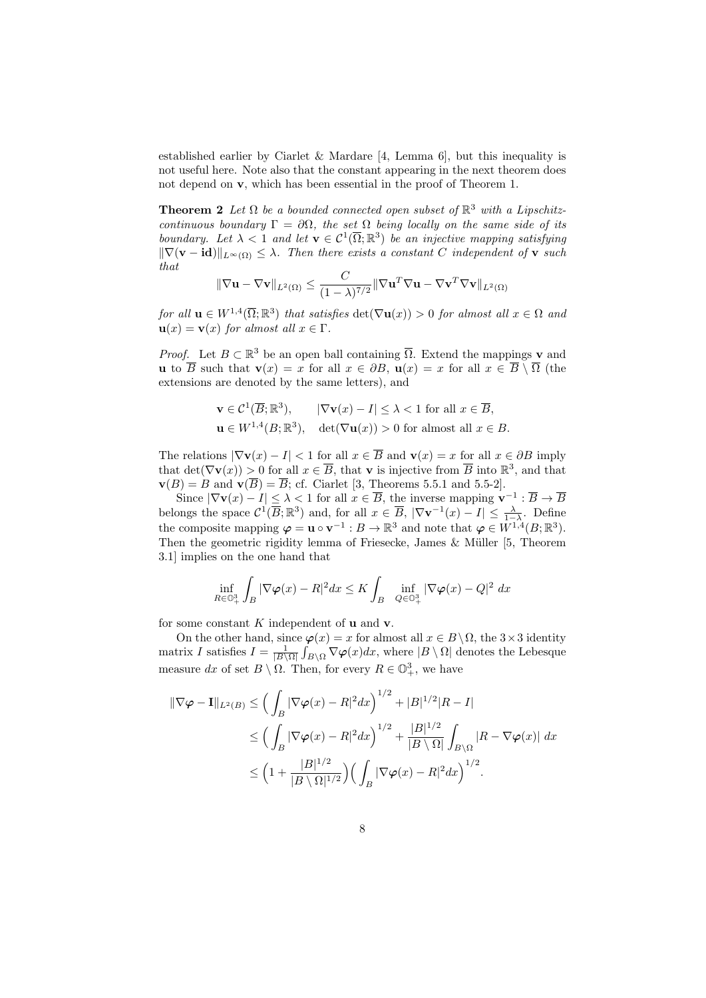established earlier by Ciarlet & Mardare [4, Lemma 6], but this inequality is not useful here. Note also that the constant appearing in the next theorem does not depend on v, which has been essential in the proof of Theorem 1.

**Theorem 2** Let  $\Omega$  be a bounded connected open subset of  $\mathbb{R}^3$  with a Lipschitzcontinuous boundary  $\Gamma = \partial \Omega$ , the set  $\Omega$  being locally on the same side of its boundary. Let  $\lambda < 1$  and let  $\mathbf{v} \in \mathcal{C}^1(\overline{\Omega}; \mathbb{R}^3)$  be an injective mapping satisfying  $\|\nabla(\mathbf{v} - \mathbf{id})\|_{L^{\infty}(\Omega)} \leq \lambda$ . Then there exists a constant C independent of **v** such that

$$
\|\nabla \mathbf{u} - \nabla \mathbf{v}\|_{L^2(\Omega)} \le \frac{C}{(1-\lambda)^{7/2}} \|\nabla \mathbf{u}^T \nabla \mathbf{u} - \nabla \mathbf{v}^T \nabla \mathbf{v}\|_{L^2(\Omega)}
$$

for all  $\mathbf{u} \in W^{1,4}(\overline{\Omega};\mathbb{R}^3)$  that satisfies  $\det(\nabla \mathbf{u}(x)) > 0$  for almost all  $x \in \Omega$  and  $\mathbf{u}(x) = \mathbf{v}(x)$  for almost all  $x \in \Gamma$ .

*Proof.* Let  $B \subset \mathbb{R}^3$  be an open ball containing  $\overline{\Omega}$ . Extend the mappings **v** and u to  $\overline{B}$  such that  $\mathbf{v}(x) = x$  for all  $x \in \partial B$ ,  $\mathbf{u}(x) = x$  for all  $x \in \overline{B} \setminus \overline{\Omega}$  (the extensions are denoted by the same letters), and

$$
\mathbf{v} \in \mathcal{C}^1(\overline{B}; \mathbb{R}^3), \qquad |\nabla \mathbf{v}(x) - I| \le \lambda < 1 \text{ for all } x \in \overline{B},
$$
  

$$
\mathbf{u} \in W^{1,4}(B; \mathbb{R}^3), \quad \det(\nabla \mathbf{u}(x)) > 0 \text{ for almost all } x \in B.
$$

The relations  $|\nabla \mathbf{v}(x) - I| < 1$  for all  $x \in \overline{B}$  and  $\mathbf{v}(x) = x$  for all  $x \in \partial B$  imply that  $\det(\nabla \mathbf{v}(x)) > 0$  for all  $x \in \overline{B}$ , that **v** is injective from  $\overline{B}$  into  $\mathbb{R}^3$ , and that  $\mathbf{v}(B) = B$  and  $\mathbf{v}(\overline{B}) = \overline{B}$ ; cf. Ciarlet [3, Theorems 5.5.1 and 5.5-2].

Since  $|\nabla \mathbf{v}(x) - I| \leq \lambda < 1$  for all  $x \in \overline{B}$ , the inverse mapping  $\mathbf{v}^{-1} : \overline{B} \to \overline{B}$ belongs the space  $\mathcal{C}^1(\overline{B};\mathbb{R}^3)$  and, for all  $x \in \overline{B}$ ,  $|\nabla \mathbf{v}^{-1}(x) - I| \leq \frac{\lambda}{1-\lambda}$ . Define the composite mapping  $\boldsymbol{\varphi} = \mathbf{u} \circ \mathbf{v}^{-1} : B \to \mathbb{R}^3$  and note that  $\boldsymbol{\varphi} \in W^{1,4}(B;\mathbb{R}^3)$ . Then the geometric rigidity lemma of Friesecke, James  $\&$  Müller [5, Theorem 3.1] implies on the one hand that

$$
\inf_{R\in\mathbb{O}^3_+}\int_B|\nabla\varphi(x)-R|^2dx\leq K\int_B\inf_{Q\in\mathbb{O}^3_+}|\nabla\varphi(x)-Q|^2\;dx
$$

for some constant  $K$  independent of  $\bf{u}$  and  $\bf{v}$ .

On the other hand, since  $\varphi(x) = x$  for almost all  $x \in B \setminus \Omega$ , the 3×3 identity matrix I satisfies  $I = \frac{1}{|B \setminus \Omega|} \int_{B \setminus \Omega} \nabla \varphi(x) dx$ , where  $|B \setminus \Omega|$  denotes the Lebesque measure dx of set  $B \setminus \Omega$ . Then, for every  $R \in \mathbb{O}_{+}^{3}$ , we have

$$
\begin{split} \|\nabla \varphi - \mathbf{I}\|_{L^{2}(B)} &\leq \Big(\int_{B} |\nabla \varphi(x) - R|^{2} dx\Big)^{1/2} + |B|^{1/2} |R - I| \\ &\leq \Big(\int_{B} |\nabla \varphi(x) - R|^{2} dx\Big)^{1/2} + \frac{|B|^{1/2}}{|B \setminus \Omega|} \int_{B \setminus \Omega} |R - \nabla \varphi(x)| dx \\ &\leq \Big(1 + \frac{|B|^{1/2}}{|B \setminus \Omega|^{1/2}}\Big) \Big(\int_{B} |\nabla \varphi(x) - R|^{2} dx\Big)^{1/2} .\end{split}
$$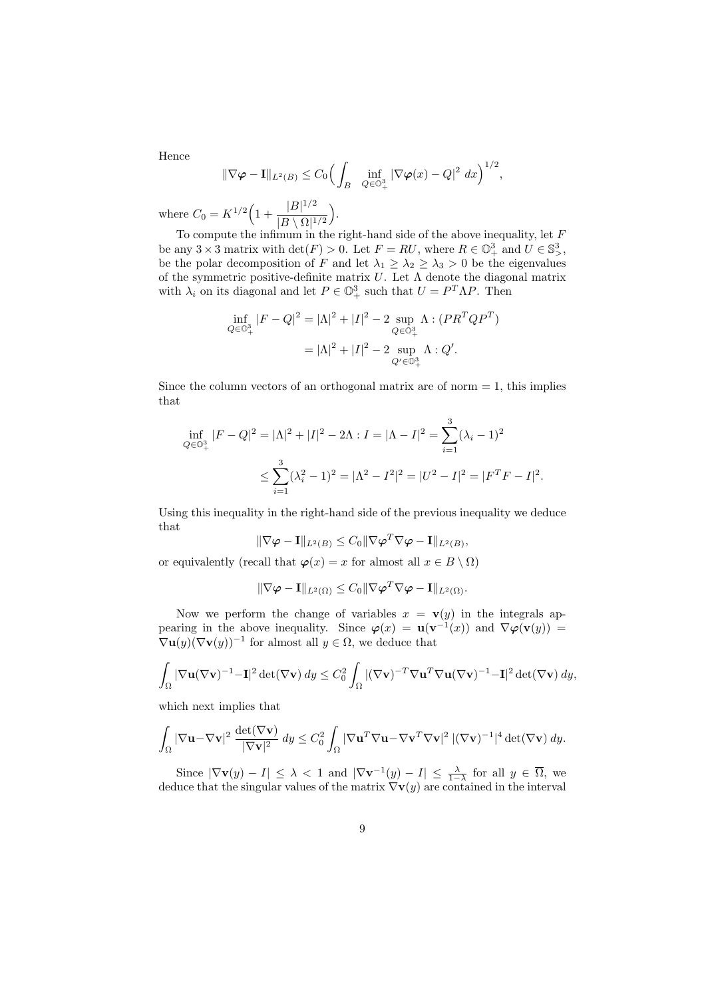Hence

$$
\|\nabla \varphi - \mathbf{I}\|_{L^2(B)} \le C_0 \Big(\int_B \inf_{Q \in \mathbb{O}_+^3} |\nabla \varphi(x) - Q|^2 dx\Big)^{1/2},
$$

where  $C_0 = K^{1/2} \Big( 1 + \frac{|B|^{1/2}}{|B \setminus |B|} \Big)$  $\frac{|B|^{1/2}}{|B \setminus \Omega|^{1/2}}$ .

To compute the infimum in the right-hand side of the above inequality, let  $F$ be any  $3 \times 3$  matrix with  $\det(F) > 0$ . Let  $F = RU$ , where  $R \in \mathbb{O}^3_+$  and  $U \in \mathbb{S}^3_>$ , be the polar decomposition of F and let  $\lambda_1 \geq \lambda_2 \geq \lambda_3 > 0$  be the eigenvalues of the symmetric positive-definite matrix  $U$ . Let  $\Lambda$  denote the diagonal matrix with  $\lambda_i$  on its diagonal and let  $P \in \mathbb{O}^3_+$  such that  $U = P^T \Lambda P$ . Then

$$
\inf_{Q \in \mathbb{O}^3_+} |F - Q|^2 = |\Lambda|^2 + |I|^2 - 2 \sup_{Q \in \mathbb{O}^3_+} \Lambda : (PR^T Q P^T)
$$

$$
= |\Lambda|^2 + |I|^2 - 2 \sup_{Q' \in \mathbb{O}^3_+} \Lambda : Q'.
$$

Since the column vectors of an orthogonal matrix are of norm  $= 1$ , this implies that

$$
\inf_{Q \in \mathbb{O}_+^3} |F - Q|^2 = |\Lambda|^2 + |I|^2 - 2\Lambda : I = |\Lambda - I|^2 = \sum_{i=1}^3 (\lambda_i - 1)^2
$$
  

$$
\leq \sum_{i=1}^3 (\lambda_i^2 - 1)^2 = |\Lambda^2 - I^2|^2 = |U^2 - I|^2 = |F^T F - I|^2.
$$

Using this inequality in the right-hand side of the previous inequality we deduce that

$$
\|\nabla \varphi - \mathbf{I}\|_{L^2(B)} \leq C_0 \|\nabla \varphi^T \nabla \varphi - \mathbf{I}\|_{L^2(B)},
$$

or equivalently (recall that  $\varphi(x) = x$  for almost all  $x \in B \setminus \Omega$ )

$$
\|\nabla \varphi - \mathbf{I}\|_{L^2(\Omega)} \leq C_0 \|\nabla \varphi^T \nabla \varphi - \mathbf{I}\|_{L^2(\Omega)}.
$$

Now we perform the change of variables  $x = v(y)$  in the integrals appearing in the above inequality. Since  $\varphi(x) = \mathbf{u}(\mathbf{v}^{-1}(x))$  and  $\nabla \varphi(\mathbf{v}(y)) =$  $\nabla$ **u** $(y)(\nabla$ **v** $(y))^{-1}$  for almost all  $y \in \Omega$ , we deduce that

$$
\int_{\Omega} |\nabla \mathbf{u}(\nabla \mathbf{v})^{-1} - \mathbf{I}|^2 \det(\nabla \mathbf{v}) \, dy \leq C_0^2 \int_{\Omega} |(\nabla \mathbf{v})^{-T} \nabla \mathbf{u}^T \nabla \mathbf{u}(\nabla \mathbf{v})^{-1} - \mathbf{I}|^2 \det(\nabla \mathbf{v}) \, dy,
$$

which next implies that

$$
\int_{\Omega} |\nabla \mathbf{u} - \nabla \mathbf{v}|^2 \frac{\det(\nabla \mathbf{v})}{|\nabla \mathbf{v}|^2} dy \leq C_0^2 \int_{\Omega} |\nabla \mathbf{u}^T \nabla \mathbf{u} - \nabla \mathbf{v}^T \nabla \mathbf{v}|^2 |(\nabla \mathbf{v})^{-1}|^4 \det(\nabla \mathbf{v}) dy.
$$

Since  $|\nabla \mathbf{v}(y) - I| \leq \lambda < 1$  and  $|\nabla \mathbf{v}^{-1}(y) - I| \leq \frac{\lambda}{1-\lambda}$  for all  $y \in \overline{\Omega}$ , we deduce that the singular values of the matrix  $\nabla\mathbf{v}(y)$  are contained in the interval